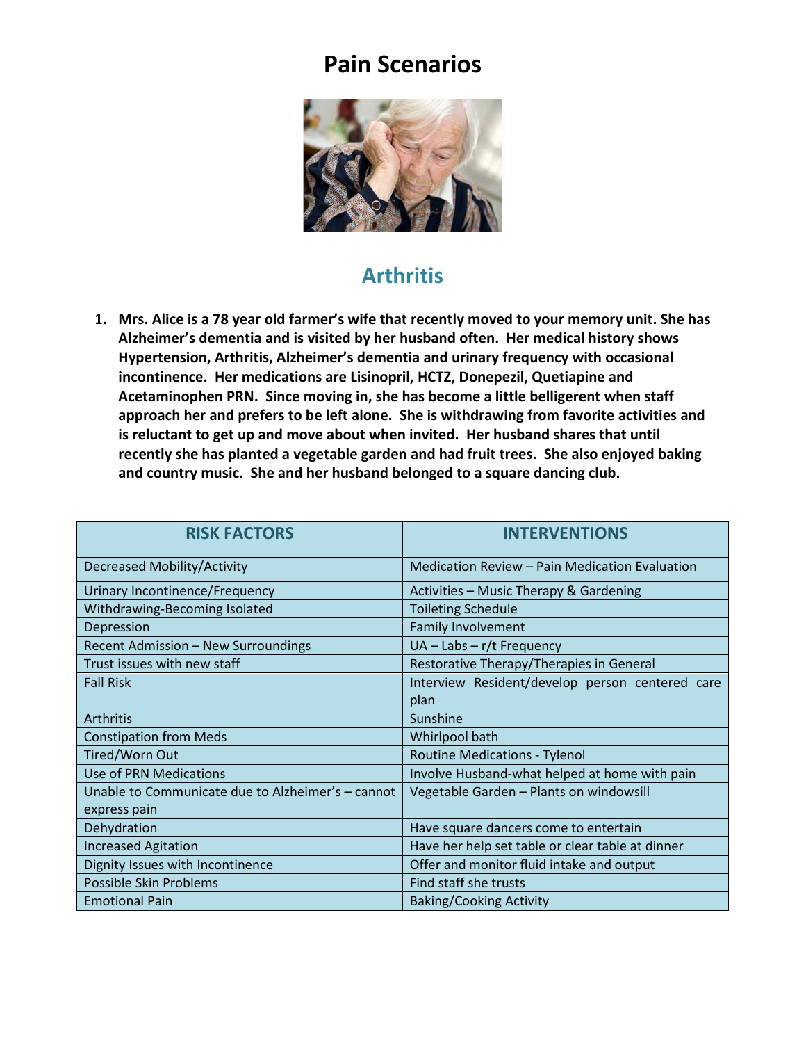

#### **Arthritis**

**1. Mrs. Alice is a 78 year old farmer's wife that recently moved to your memory unit. She has Alzheimer's dementia and is visited by her husband often. Her medical history shows Hypertension, Arthritis, Alzheimer's dementia and urinary frequency with occasional incontinence. Her medications are Lisinopril, HCTZ, Donepezil, Quetiapine and Acetaminophen PRN. Since moving in, she has become a little belligerent when staff approach her and prefers to be left alone. She is withdrawing from favorite activities and is reluctant to get up and move about when invited. Her husband shares that until recently she has planted a vegetable garden and had fruit trees. She also enjoyed baking and country music. She and her husband belonged to a square dancing club.**

| <b>RISK FACTORS</b>                               | <b>INTERVENTIONS</b>                             |
|---------------------------------------------------|--------------------------------------------------|
| <b>Decreased Mobility/Activity</b>                | Medication Review – Pain Medication Evaluation   |
| <b>Urinary Incontinence/Frequency</b>             | Activities - Music Therapy & Gardening           |
| Withdrawing-Becoming Isolated                     | <b>Toileting Schedule</b>                        |
| Depression                                        | <b>Family Involvement</b>                        |
| <b>Recent Admission - New Surroundings</b>        | UA - Labs - r/t Frequency                        |
| Trust issues with new staff                       | Restorative Therapy/Therapies in General         |
| <b>Fall Risk</b>                                  | Interview Resident/develop person centered care  |
|                                                   | plan                                             |
| <b>Arthritis</b>                                  | Sunshine                                         |
| <b>Constipation from Meds</b>                     | Whirlpool bath                                   |
| Tired/Worn Out                                    | <b>Routine Medications - Tylenol</b>             |
| <b>Use of PRN Medications</b>                     | Involve Husband-what helped at home with pain    |
| Unable to Communicate due to Alzheimer's - cannot | Vegetable Garden - Plants on windowsill          |
| express pain                                      |                                                  |
| Dehydration                                       | Have square dancers come to entertain            |
| <b>Increased Agitation</b>                        | Have her help set table or clear table at dinner |
| Dignity Issues with Incontinence                  | Offer and monitor fluid intake and output        |
| Possible Skin Problems                            | Find staff she trusts                            |
| <b>Emotional Pain</b>                             | <b>Baking/Cooking Activity</b>                   |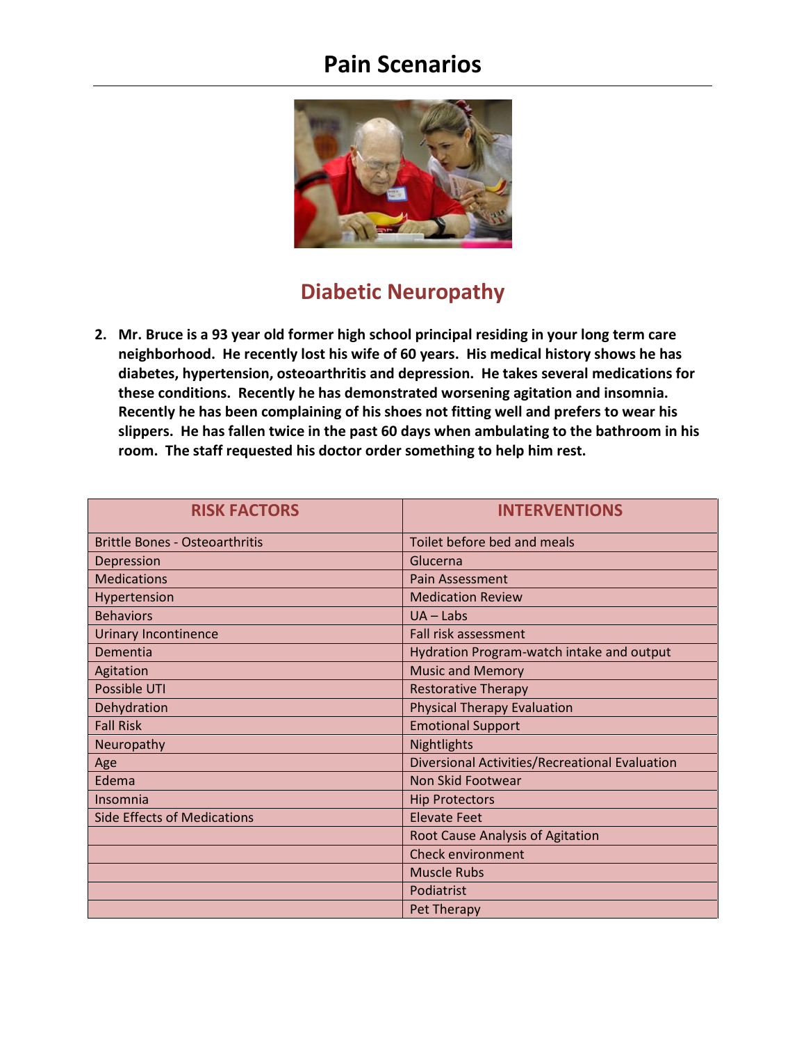

#### **Diabetic Neuropathy**

**2. Mr. Bruce is a 93 year old former high school principal residing in your long term care neighborhood. He recently lost his wife of 60 years. His medical history shows he has diabetes, hypertension, osteoarthritis and depression. He takes several medications for these conditions. Recently he has demonstrated worsening agitation and insomnia. Recently he has been complaining of his shoes not fitting well and prefers to wear his slippers. He has fallen twice in the past 60 days when ambulating to the bathroom in his room. The staff requested his doctor order something to help him rest.** 

| <b>RISK FACTORS</b>                   | <b>INTERVENTIONS</b>                           |
|---------------------------------------|------------------------------------------------|
| <b>Brittle Bones - Osteoarthritis</b> | Toilet before bed and meals                    |
| Depression                            | Glucerna                                       |
| <b>Medications</b>                    | Pain Assessment                                |
| Hypertension                          | <b>Medication Review</b>                       |
| <b>Behaviors</b>                      | $UA - Labs$                                    |
| <b>Urinary Incontinence</b>           | Fall risk assessment                           |
| Dementia                              | Hydration Program-watch intake and output      |
| Agitation                             | <b>Music and Memory</b>                        |
| Possible UTI                          | <b>Restorative Therapy</b>                     |
| Dehydration                           | <b>Physical Therapy Evaluation</b>             |
| <b>Fall Risk</b>                      | <b>Emotional Support</b>                       |
| Neuropathy                            | Nightlights                                    |
| Age                                   | Diversional Activities/Recreational Evaluation |
| Edema                                 | Non Skid Footwear                              |
| Insomnia                              | <b>Hip Protectors</b>                          |
| <b>Side Effects of Medications</b>    | <b>Elevate Feet</b>                            |
|                                       | Root Cause Analysis of Agitation               |
|                                       | <b>Check environment</b>                       |
|                                       | <b>Muscle Rubs</b>                             |
|                                       | Podiatrist                                     |
|                                       | Pet Therapy                                    |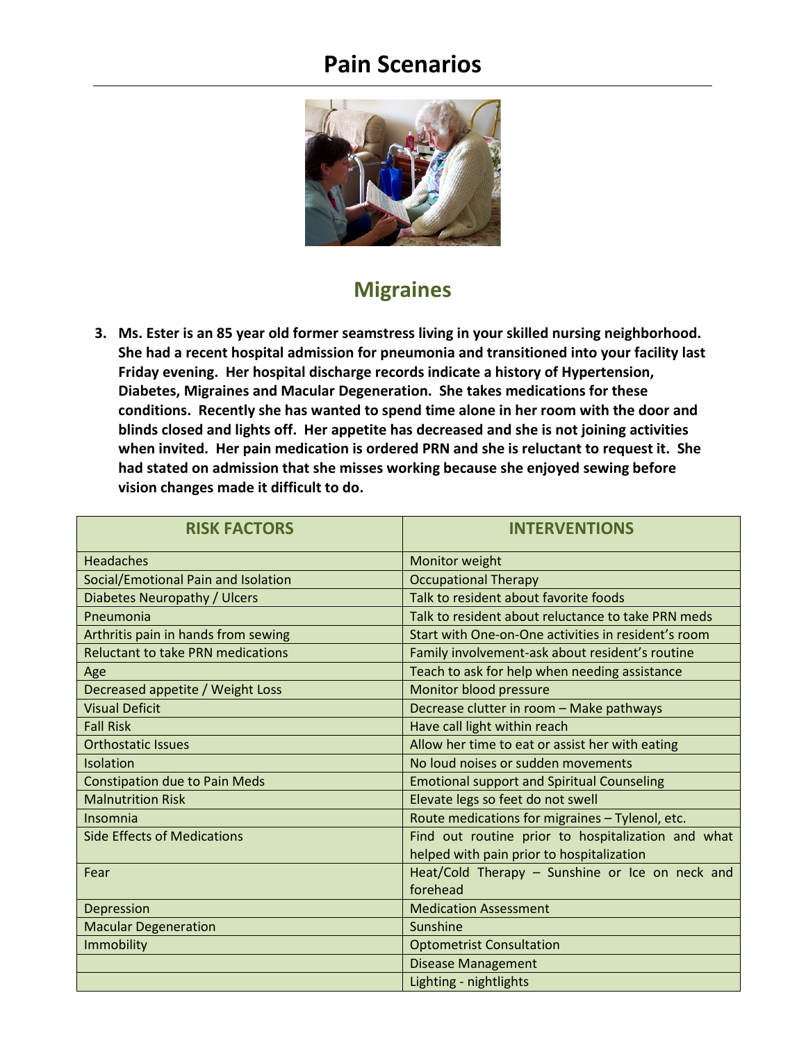

### **Migraines**

**3. Ms. Ester is an 85 year old former seamstress living in your skilled nursing neighborhood. She had a recent hospital admission for pneumonia and transitioned into your facility last Friday evening. Her hospital discharge records indicate a history of Hypertension, Diabetes, Migraines and Macular Degeneration. She takes medications for these conditions. Recently she has wanted to spend time alone in her room with the door and blinds closed and lights off. Her appetite has decreased and she is not joining activities when invited. Her pain medication is ordered PRN and she is reluctant to request it. She had stated on admission that she misses working because she enjoyed sewing before vision changes made it difficult to do.**

| <b>RISK FACTORS</b>                      | <b>INTERVENTIONS</b>                                |
|------------------------------------------|-----------------------------------------------------|
| <b>Headaches</b>                         | Monitor weight                                      |
| Social/Emotional Pain and Isolation      | <b>Occupational Therapy</b>                         |
| Diabetes Neuropathy / Ulcers             | Talk to resident about favorite foods               |
| Pneumonia                                | Talk to resident about reluctance to take PRN meds  |
| Arthritis pain in hands from sewing      | Start with One-on-One activities in resident's room |
| <b>Reluctant to take PRN medications</b> | Family involvement-ask about resident's routine     |
| Age                                      | Teach to ask for help when needing assistance       |
| Decreased appetite / Weight Loss         | Monitor blood pressure                              |
| <b>Visual Deficit</b>                    | Decrease clutter in room - Make pathways            |
| <b>Fall Risk</b>                         | Have call light within reach                        |
| <b>Orthostatic Issues</b>                | Allow her time to eat or assist her with eating     |
| Isolation                                | No loud noises or sudden movements                  |
| <b>Constipation due to Pain Meds</b>     | <b>Emotional support and Spiritual Counseling</b>   |
| <b>Malnutrition Risk</b>                 | Elevate legs so feet do not swell                   |
| Insomnia                                 | Route medications for migraines - Tylenol, etc.     |
| <b>Side Effects of Medications</b>       | Find out routine prior to hospitalization and what  |
|                                          | helped with pain prior to hospitalization           |
| Fear                                     | Heat/Cold Therapy - Sunshine or Ice on neck and     |
|                                          | forehead                                            |
| Depression                               | <b>Medication Assessment</b>                        |
| <b>Macular Degeneration</b>              | Sunshine                                            |
| Immobility                               | <b>Optometrist Consultation</b>                     |
|                                          | <b>Disease Management</b>                           |
|                                          | Lighting - nightlights                              |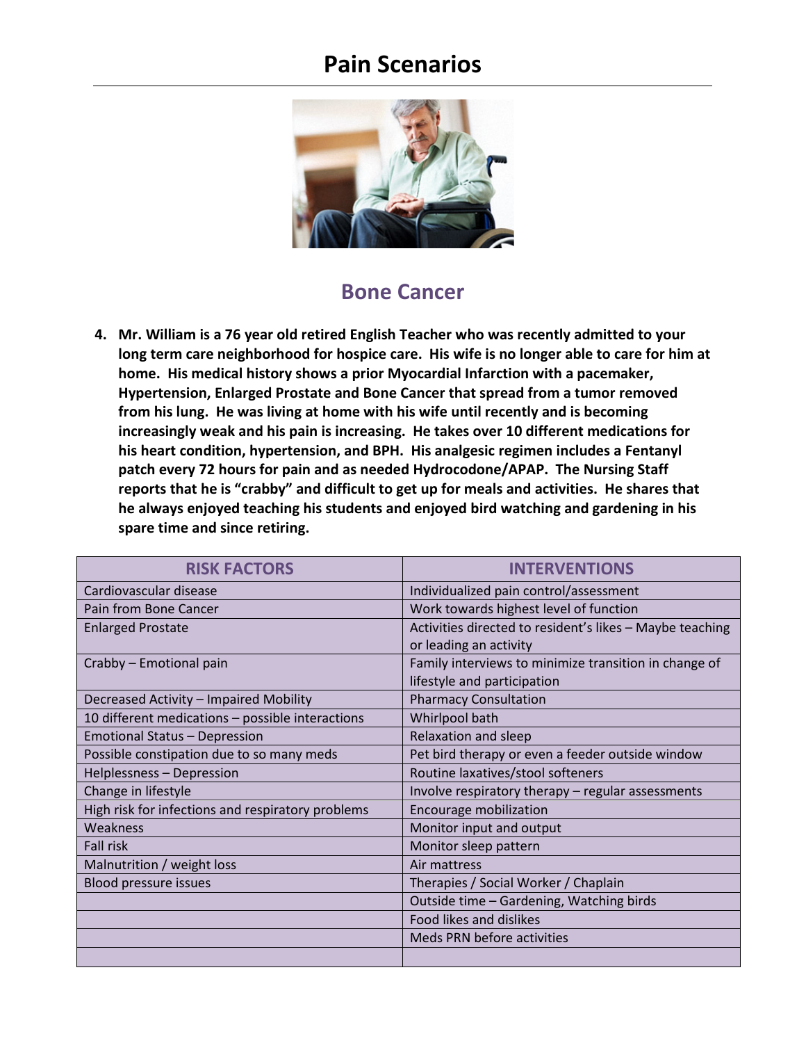

#### **Bone Cancer**

**4. Mr. William is a 76 year old retired English Teacher who was recently admitted to your long term care neighborhood for hospice care. His wife is no longer able to care for him at home. His medical history shows a prior Myocardial Infarction with a pacemaker, Hypertension, Enlarged Prostate and Bone Cancer that spread from a tumor removed from his lung. He was living at home with his wife until recently and is becoming increasingly weak and his pain is increasing. He takes over 10 different medications for his heart condition, hypertension, and BPH. His analgesic regimen includes a Fentanyl patch every 72 hours for pain and as needed Hydrocodone/APAP. The Nursing Staff reports that he is "crabby" and difficult to get up for meals and activities. He shares that he always enjoyed teaching his students and enjoyed bird watching and gardening in his spare time and since retiring.** 

| <b>RISK FACTORS</b>                               | <b>INTERVENTIONS</b>                                     |
|---------------------------------------------------|----------------------------------------------------------|
| Cardiovascular disease                            | Individualized pain control/assessment                   |
| Pain from Bone Cancer                             | Work towards highest level of function                   |
| <b>Enlarged Prostate</b>                          | Activities directed to resident's likes - Maybe teaching |
|                                                   | or leading an activity                                   |
| Crabby - Emotional pain                           | Family interviews to minimize transition in change of    |
|                                                   | lifestyle and participation                              |
| Decreased Activity - Impaired Mobility            | <b>Pharmacy Consultation</b>                             |
| 10 different medications - possible interactions  | Whirlpool bath                                           |
| <b>Emotional Status - Depression</b>              | Relaxation and sleep                                     |
| Possible constipation due to so many meds         | Pet bird therapy or even a feeder outside window         |
| Helplessness - Depression                         | Routine laxatives/stool softeners                        |
| Change in lifestyle                               | Involve respiratory therapy - regular assessments        |
| High risk for infections and respiratory problems | Encourage mobilization                                   |
| Weakness                                          | Monitor input and output                                 |
| <b>Fall risk</b>                                  | Monitor sleep pattern                                    |
| Malnutrition / weight loss                        | Air mattress                                             |
| Blood pressure issues                             | Therapies / Social Worker / Chaplain                     |
|                                                   | Outside time - Gardening, Watching birds                 |
|                                                   | Food likes and dislikes                                  |
|                                                   | Meds PRN before activities                               |
|                                                   |                                                          |